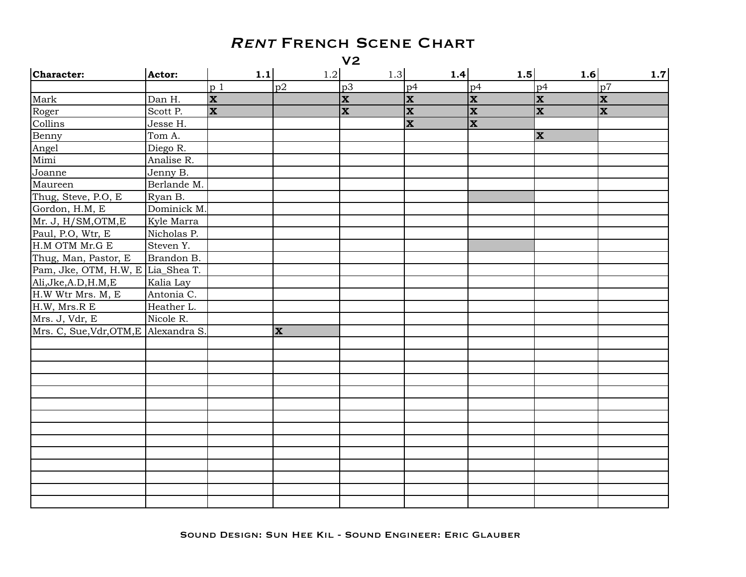$V<sub>2</sub>$ 

| Character:                            | Actor:      | 1.1                     | 1.2                     | 1.3                     | 1.4                     | 1.5                     | 1.6                     | 1.7                     |
|---------------------------------------|-------------|-------------------------|-------------------------|-------------------------|-------------------------|-------------------------|-------------------------|-------------------------|
|                                       |             | p <sub>1</sub>          | p2                      | p3                      | p4                      | p4                      | p4                      | p7                      |
| Mark                                  | Dan H.      | $\overline{\mathbf{x}}$ |                         | $\overline{\mathbf{x}}$ | $\overline{\mathbf{x}}$ | $ \mathbf{x} $          | $ \mathbf{x} $          | $ \mathbf{x} $          |
| Roger                                 | Scott P.    | $\overline{\mathbf{x}}$ |                         | $\overline{\mathbf{x}}$ | $\overline{\mathbf{x}}$ | $\overline{\mathbf{x}}$ | $\overline{\mathbf{x}}$ | $\overline{\mathbf{x}}$ |
| Collins                               | Jesse H.    |                         |                         |                         | $\overline{\mathbf{x}}$ | $\overline{\mathbf{x}}$ |                         |                         |
| Benny                                 | Tom A.      |                         |                         |                         |                         |                         | $ \mathbf{x} $          |                         |
| Angel                                 | Diego R.    |                         |                         |                         |                         |                         |                         |                         |
| Mimi                                  | Analise R.  |                         |                         |                         |                         |                         |                         |                         |
| Joanne                                | Jenny B.    |                         |                         |                         |                         |                         |                         |                         |
| Maureen                               | Berlande M. |                         |                         |                         |                         |                         |                         |                         |
| Thug, Steve, P.O, E                   | Ryan B.     |                         |                         |                         |                         |                         |                         |                         |
| Gordon, H.M, E                        | Dominick M. |                         |                         |                         |                         |                         |                         |                         |
| Mr. J, H/SM, OTM, E                   | Kyle Marra  |                         |                         |                         |                         |                         |                         |                         |
| Paul, P.O, Wtr, E                     | Nicholas P. |                         |                         |                         |                         |                         |                         |                         |
| H.M OTM Mr.G E                        | Steven Y.   |                         |                         |                         |                         |                         |                         |                         |
| Thug, Man, Pastor, E                  | Brandon B.  |                         |                         |                         |                         |                         |                         |                         |
| Pam, Jke, OTM, H.W, E Lia_Shea T.     |             |                         |                         |                         |                         |                         |                         |                         |
| Ali, Jke, A.D, H.M, E                 | Kalia Lay   |                         |                         |                         |                         |                         |                         |                         |
| H.W Wtr Mrs. M, E                     | Antonia C.  |                         |                         |                         |                         |                         |                         |                         |
| H.W, Mrs.R E                          | Heather L.  |                         |                         |                         |                         |                         |                         |                         |
| Mrs. J, Vdr, E                        | Nicole R.   |                         |                         |                         |                         |                         |                         |                         |
| Mrs. C, Sue, Vdr, OTM, E Alexandra S. |             |                         | $\overline{\mathbf{x}}$ |                         |                         |                         |                         |                         |
|                                       |             |                         |                         |                         |                         |                         |                         |                         |
|                                       |             |                         |                         |                         |                         |                         |                         |                         |
|                                       |             |                         |                         |                         |                         |                         |                         |                         |
|                                       |             |                         |                         |                         |                         |                         |                         |                         |
|                                       |             |                         |                         |                         |                         |                         |                         |                         |
|                                       |             |                         |                         |                         |                         |                         |                         |                         |
|                                       |             |                         |                         |                         |                         |                         |                         |                         |
|                                       |             |                         |                         |                         |                         |                         |                         |                         |
|                                       |             |                         |                         |                         |                         |                         |                         |                         |
|                                       |             |                         |                         |                         |                         |                         |                         |                         |
|                                       |             |                         |                         |                         |                         |                         |                         |                         |
|                                       |             |                         |                         |                         |                         |                         |                         |                         |
|                                       |             |                         |                         |                         |                         |                         |                         |                         |
|                                       |             |                         |                         |                         |                         |                         |                         |                         |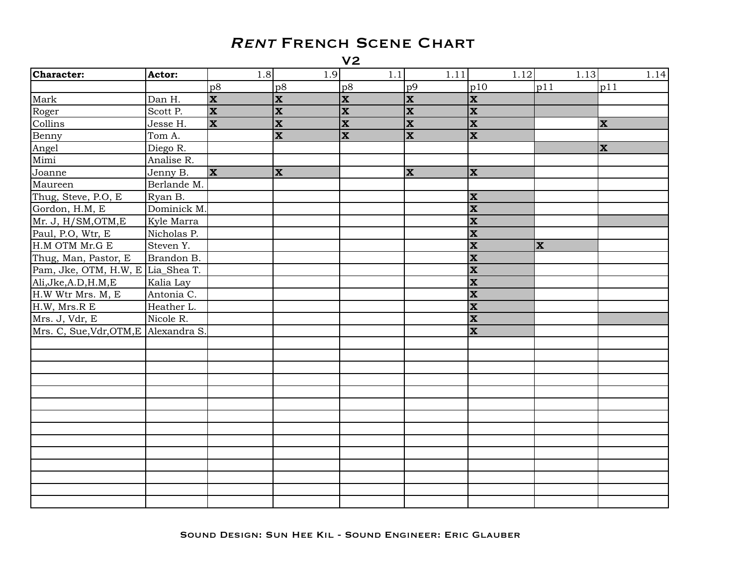| Character:                            | Actor:      | 1.8                     | 1.9                     | 1.1                     | 1.11           | 1.12                    | 1.13           | 1.14                    |
|---------------------------------------|-------------|-------------------------|-------------------------|-------------------------|----------------|-------------------------|----------------|-------------------------|
|                                       |             | p8                      | p8                      | p8                      | p9             | p10                     | p11            | p11                     |
| Mark                                  | Dan H.      | $\overline{\mathbf{x}}$ | $\mathbf x$             | $\overline{\mathbf{x}}$ | $ \mathbf{x} $ | X                       |                |                         |
| Roger                                 | Scott P.    | $ \mathbf{x} $          | $\overline{\mathbf{X}}$ | $ \mathbf{x} $          | $ \mathbf{x} $ | $\overline{\mathbf{x}}$ |                |                         |
| Collins                               | Jesse H.    | <b>x</b>                | $\overline{\mathbf{x}}$ | $\overline{\mathbf{x}}$ | $ \mathbf{x} $ | $\overline{\mathbf{x}}$ |                | $\overline{\mathbf{x}}$ |
| Benny                                 | Tom A.      |                         | $\mathbf{x}$            | $\overline{\mathbf{x}}$ | <b>x</b>       | $ \mathbf{x} $          |                |                         |
| Angel                                 | Diego R.    |                         |                         |                         |                |                         |                | $\mathbf{x}$            |
| Mimi                                  | Analise R.  |                         |                         |                         |                |                         |                |                         |
| Joanne                                | Jenny B.    | $\mathbf{x}$            | $\mathbf{x}$            |                         | X              | X                       |                |                         |
| Maureen                               | Berlande M. |                         |                         |                         |                |                         |                |                         |
| Thug, Steve, P.O, E                   | Ryan B.     |                         |                         |                         |                | $\mathbf{x}$            |                |                         |
| Gordon, H.M, E                        | Dominick M. |                         |                         |                         |                | $\overline{\mathbf{x}}$ |                |                         |
| Mr. J, H/SM, OTM, E                   | Kyle Marra  |                         |                         |                         |                | $\overline{\mathbf{x}}$ |                |                         |
| Paul, P.O, Wtr, E                     | Nicholas P. |                         |                         |                         |                | $\overline{\mathbf{x}}$ |                |                         |
| H.M OTM Mr.G E                        | Steven Y.   |                         |                         |                         |                | $\mathbf{x}$            | $ \mathbf{x} $ |                         |
| Thug, Man, Pastor, E                  | Brandon B.  |                         |                         |                         |                | $\overline{\mathbf{x}}$ |                |                         |
| Pam, Jke, OTM, H.W, E                 | Lia_Shea T. |                         |                         |                         |                | $\overline{\mathbf{x}}$ |                |                         |
| Ali, Jke, A.D, H.M, E                 | Kalia Lay   |                         |                         |                         |                | $\overline{\mathbf{x}}$ |                |                         |
| H.W Wtr Mrs. M, E                     | Antonia C.  |                         |                         |                         |                | $\overline{\mathbf{x}}$ |                |                         |
| H.W, Mrs.R E                          | Heather L.  |                         |                         |                         |                | $\overline{\mathbf{x}}$ |                |                         |
| Mrs. J, Vdr, E                        | Nicole R.   |                         |                         |                         |                | $\overline{\mathbf{x}}$ |                |                         |
| Mrs. C, Sue, Vdr, OTM, E Alexandra S. |             |                         |                         |                         |                | X                       |                |                         |
|                                       |             |                         |                         |                         |                |                         |                |                         |
|                                       |             |                         |                         |                         |                |                         |                |                         |
|                                       |             |                         |                         |                         |                |                         |                |                         |
|                                       |             |                         |                         |                         |                |                         |                |                         |
|                                       |             |                         |                         |                         |                |                         |                |                         |
|                                       |             |                         |                         |                         |                |                         |                |                         |
|                                       |             |                         |                         |                         |                |                         |                |                         |
|                                       |             |                         |                         |                         |                |                         |                |                         |
|                                       |             |                         |                         |                         |                |                         |                |                         |
|                                       |             |                         |                         |                         |                |                         |                |                         |
|                                       |             |                         |                         |                         |                |                         |                |                         |
|                                       |             |                         |                         |                         |                |                         |                |                         |
|                                       |             |                         |                         |                         |                |                         |                |                         |
|                                       |             |                         |                         |                         |                |                         |                |                         |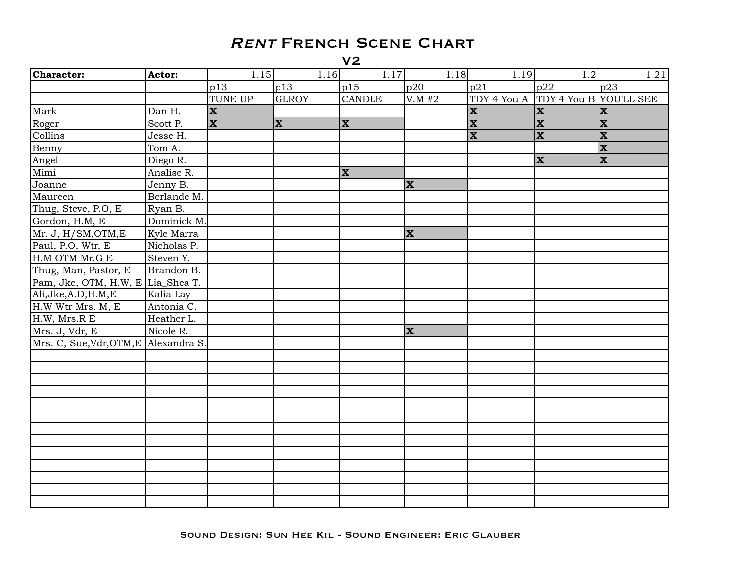| Character:                            | Actor:      | 1.15                    | 1.16         | 1.17                    | 1.18           | 1.19                               | 1.2                     | 1.21                    |
|---------------------------------------|-------------|-------------------------|--------------|-------------------------|----------------|------------------------------------|-------------------------|-------------------------|
|                                       |             | p13                     | p13          | p15                     | p20            | p21                                | p22                     | p23                     |
|                                       |             | <b>TUNE UP</b>          | <b>GLROY</b> | <b>CANDLE</b>           | V.M #2         | TDY 4 You A TDY 4 You B YOU'LL SEE |                         |                         |
| Mark                                  | Dan H.      | X                       |              |                         |                | $\mathbf x$                        | $ \mathbf{x} $          | <b>X</b>                |
| Roger                                 | Scott P.    | $\overline{\mathbf{x}}$ | $\mathbf{x}$ | <b>x</b>                |                | $\overline{\mathbf{x}}$            | $\overline{\mathbf{x}}$ | $ \mathbf{x} $          |
| Collins                               | Jesse H.    |                         |              |                         |                | $\overline{\mathbf{x}}$            | $ \mathbf{x} $          | $\mathbf{x}$            |
| Benny                                 | Tom A.      |                         |              |                         |                |                                    |                         | X                       |
| Angel                                 | Diego R.    |                         |              |                         |                |                                    | $ \mathbf{x} $          | $\overline{\mathbf{x}}$ |
| Mimi                                  | Analise R.  |                         |              | $\overline{\mathbf{x}}$ |                |                                    |                         |                         |
| Joanne                                | Jenny B.    |                         |              |                         | $ \mathbf{x} $ |                                    |                         |                         |
| Maureen                               | Berlande M. |                         |              |                         |                |                                    |                         |                         |
| Thug, Steve, P.O, E                   | Ryan B.     |                         |              |                         |                |                                    |                         |                         |
| Gordon, H.M, E                        | Dominick M. |                         |              |                         |                |                                    |                         |                         |
| Mr. J, H/SM, OTM, E                   | Kyle Marra  |                         |              |                         | $ \mathbf{x} $ |                                    |                         |                         |
| Paul, P.O, Wtr, E                     | Nicholas P. |                         |              |                         |                |                                    |                         |                         |
| H.M OTM Mr.G E                        | Steven Y.   |                         |              |                         |                |                                    |                         |                         |
| Thug, Man, Pastor, E                  | Brandon B.  |                         |              |                         |                |                                    |                         |                         |
| Pam, Jke, OTM, H.W, E Lia_Shea T.     |             |                         |              |                         |                |                                    |                         |                         |
| Ali, Jke, A.D, H.M, E                 | Kalia Lay   |                         |              |                         |                |                                    |                         |                         |
| H.W Wtr Mrs. M, E                     | Antonia C.  |                         |              |                         |                |                                    |                         |                         |
| H.W, Mrs.R E                          | Heather L.  |                         |              |                         |                |                                    |                         |                         |
| Mrs. J, Vdr, E                        | Nicole R.   |                         |              |                         | $ \mathbf{x} $ |                                    |                         |                         |
| Mrs. C, Sue, Vdr, OTM, E Alexandra S. |             |                         |              |                         |                |                                    |                         |                         |
|                                       |             |                         |              |                         |                |                                    |                         |                         |
|                                       |             |                         |              |                         |                |                                    |                         |                         |
|                                       |             |                         |              |                         |                |                                    |                         |                         |
|                                       |             |                         |              |                         |                |                                    |                         |                         |
|                                       |             |                         |              |                         |                |                                    |                         |                         |
|                                       |             |                         |              |                         |                |                                    |                         |                         |
|                                       |             |                         |              |                         |                |                                    |                         |                         |
|                                       |             |                         |              |                         |                |                                    |                         |                         |
|                                       |             |                         |              |                         |                |                                    |                         |                         |
|                                       |             |                         |              |                         |                |                                    |                         |                         |
|                                       |             |                         |              |                         |                |                                    |                         |                         |
|                                       |             |                         |              |                         |                |                                    |                         |                         |
|                                       |             |                         |              |                         |                |                                    |                         |                         |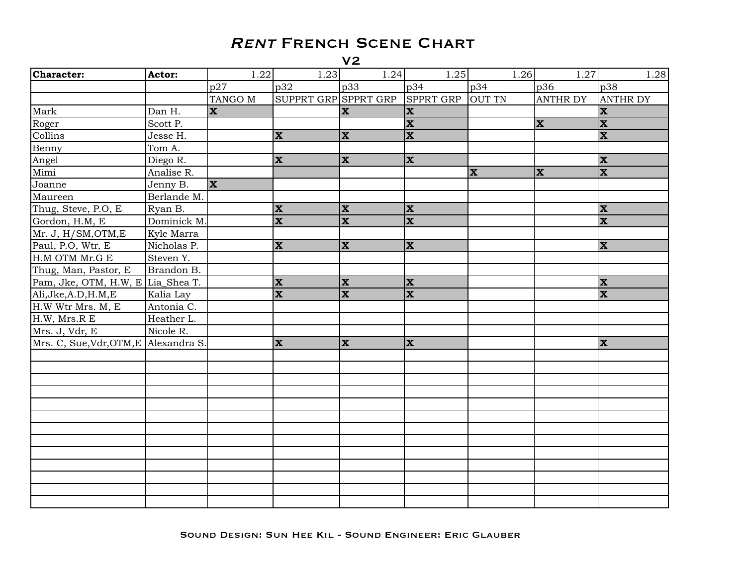| Character:                            | Actor:      | 1.22                    | 1.23                    | 1.24                    | 1.25                    | 1.26          | 1.27            | 1.28                    |
|---------------------------------------|-------------|-------------------------|-------------------------|-------------------------|-------------------------|---------------|-----------------|-------------------------|
|                                       |             | p27                     | p32                     | $ p33\rangle$           | p34                     | p34           | p36             | p38                     |
|                                       |             | TANGO M                 | SUPPRT GRP SPPRT GRP    |                         | SPPRT GRP               | <b>OUT TN</b> | <b>ANTHR DY</b> | <b>ANTHR DY</b>         |
| Mark                                  | Dan H.      | $\mathbf{x}$            |                         | <b>X</b>                | $\mathbf x$             |               |                 | <b>X</b>                |
| Roger                                 | Scott P.    |                         |                         |                         | $\mathbf{x}$            |               | $ \mathbf{x} $  | $ \mathbf{x} $          |
| Collins                               | Jesse H.    |                         | $\mathbf{x}$            | $ \mathbf{x} $          | $\mathbf{x}$            |               |                 | X                       |
| Benny                                 | Tom A.      |                         |                         |                         |                         |               |                 |                         |
| Angel                                 | Diego R.    |                         | $\mathbf{x}$            | $\mathbf{x}$            | X                       |               |                 | <b>X</b>                |
| Mimi                                  | Analise R.  |                         |                         |                         |                         | $\mathbf{x}$  | $ \mathbf{x} $  | $ \mathbf{x} $          |
| Joanne                                | Jenny B.    | $\overline{\mathbf{x}}$ |                         |                         |                         |               |                 |                         |
| Maureen                               | Berlande M. |                         |                         |                         |                         |               |                 |                         |
| Thug, Steve, P.O, E                   | Ryan B.     |                         | $\mathbf x$             | $ \mathbf{x} $          | X                       |               |                 | <b>X</b>                |
| Gordon, H.M, E                        | Dominick M. |                         | $\overline{\mathbf{x}}$ | $\mathbf x$             | $\mathbf{x}$            |               |                 | X                       |
| Mr. J, H/SM, OTM, E                   | Kyle Marra  |                         |                         |                         |                         |               |                 |                         |
| Paul, P.O, Wtr, E                     | Nicholas P. |                         | $\mathbf{x}$            | $\mathbf{x}$            | $\mathbf{x}$            |               |                 | <b>X</b>                |
| H.M OTM Mr.G E                        | Steven Y.   |                         |                         |                         |                         |               |                 |                         |
| Thug, Man, Pastor, E                  | Brandon B.  |                         |                         |                         |                         |               |                 |                         |
| Pam, Jke, OTM, H.W, E Lia_Shea T.     |             |                         | $ \mathbf{x} $          | $\mathbf{x}$            | X                       |               |                 | $\overline{\mathbf{x}}$ |
| Ali, Jke, A.D, H.M, E                 | Kalia Lay   |                         | $\mathbf{x}$            | $\overline{\mathbf{x}}$ | $\overline{\mathbf{x}}$ |               |                 | X                       |
| H.W Wtr Mrs. M, E                     | Antonia C.  |                         |                         |                         |                         |               |                 |                         |
| H.W, Mrs.R E                          | Heather L.  |                         |                         |                         |                         |               |                 |                         |
| Mrs. J, Vdr, E                        | Nicole R.   |                         |                         |                         |                         |               |                 |                         |
| Mrs. C, Sue, Vdr, OTM, E Alexandra S. |             |                         | $\mathbf{x}$            | $ \mathbf{x} $          | $\mathbf x$             |               |                 | <b>X</b>                |
|                                       |             |                         |                         |                         |                         |               |                 |                         |
|                                       |             |                         |                         |                         |                         |               |                 |                         |
|                                       |             |                         |                         |                         |                         |               |                 |                         |
|                                       |             |                         |                         |                         |                         |               |                 |                         |
|                                       |             |                         |                         |                         |                         |               |                 |                         |
|                                       |             |                         |                         |                         |                         |               |                 |                         |
|                                       |             |                         |                         |                         |                         |               |                 |                         |
|                                       |             |                         |                         |                         |                         |               |                 |                         |
|                                       |             |                         |                         |                         |                         |               |                 |                         |
|                                       |             |                         |                         |                         |                         |               |                 |                         |
|                                       |             |                         |                         |                         |                         |               |                 |                         |
|                                       |             |                         |                         |                         |                         |               |                 |                         |
|                                       |             |                         |                         |                         |                         |               |                 |                         |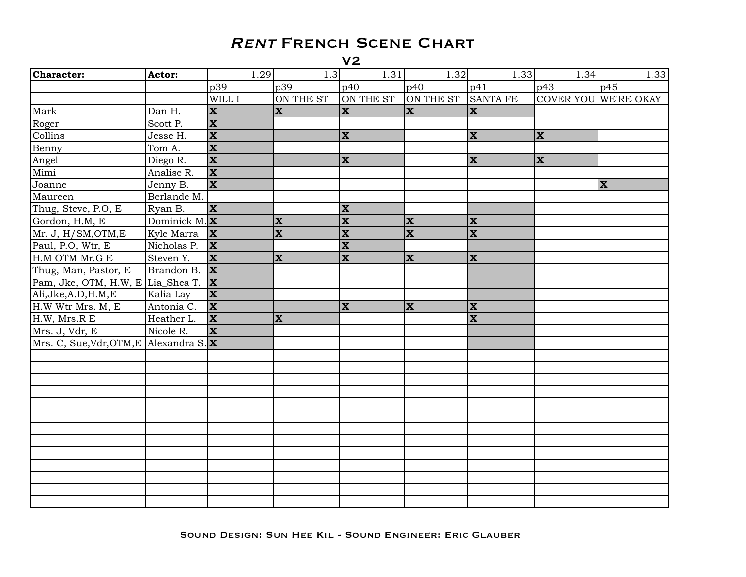| <b>Character:</b>                      | Actor:          | 1.29                        | 1.3                     | 1.31                    | 1.32                     | 1.33                    | 1.34           | 1.33                 |
|----------------------------------------|-----------------|-----------------------------|-------------------------|-------------------------|--------------------------|-------------------------|----------------|----------------------|
|                                        |                 | p39                         | p39                     | p40                     | p40                      | p41                     | p43            | p45                  |
|                                        |                 | $\overline{\text{W}}$ ILL I | ON THE ST               | ON THE ST               | ON THE ST                | <b>SANTA FE</b>         |                | COVER YOU WE'RE OKAY |
| Mark                                   | Dan H.          | $\mathbf{x}$                | $\mathbf{x}$            | $\mathbf{x}$            | $\mathbf{x}$             | X                       |                |                      |
| Roger                                  | Scott P.        | $\overline{\mathbf{x}}$     |                         |                         |                          |                         |                |                      |
| Collins                                | Jesse H.        | $\overline{\mathbf{x}}$     |                         | $ \mathbf{x} $          |                          | $ \mathbf{x} $          | $ \mathbf{x} $ |                      |
| Benny                                  | Tom A.          | X                           |                         |                         |                          |                         |                |                      |
| Angel                                  | Diego R.        | $\overline{\mathbf{x}}$     |                         | $ \mathbf{x} $          |                          | <b>X</b>                | $ \mathbf{x} $ |                      |
| Mimi                                   | Analise R.      | $\mathbf{x}$                |                         |                         |                          |                         |                |                      |
| Joanne                                 | Jenny B.        | $\overline{\mathbf{x}}$     |                         |                         |                          |                         |                | <b>X</b>             |
| Maureen                                | Berlande M.     |                             |                         |                         |                          |                         |                |                      |
| Thug, Steve, P.O., E.                  | Ryan B.         | $ \mathbf{x} $              |                         | $ \mathbf{x} $          |                          |                         |                |                      |
| Gordon, H.M, E                         | Dominick M. $X$ |                             | $\mathbf x$             | $ \mathbf{x} $          | $\vert \mathbf{x} \vert$ | $\mathbf{x}$            |                |                      |
| Mr. J, H/SM, OTM, E                    | Kyle Marra      | $ \mathbf{x} $              | $\overline{\mathbf{x}}$ | $\overline{\mathbf{x}}$ | $\overline{\mathbf{x}}$  | $\overline{\mathbf{x}}$ |                |                      |
| Paul, P.O, Wtr, E                      | Nicholas P.     | $\mathbf{x}$                |                         | $\mathbf{x}$            |                          |                         |                |                      |
| H.M OTM Mr.G E                         | Steven Y.       | <b>X</b>                    | $\mathbf{x}$            | $\overline{\mathbf{x}}$ | $\mathbf{x}$             | $\mathbf{x}$            |                |                      |
| Thug, Man, Pastor, E                   | Brandon B.      | $ \mathbf{x} $              |                         |                         |                          |                         |                |                      |
| Pam, Jke, OTM, H.W, E Lia_Shea T.      |                 | $ \mathbf{x} $              |                         |                         |                          |                         |                |                      |
| Ali, Jke, A.D, H.M, E                  | Kalia Lay       | <b>x</b>                    |                         |                         |                          |                         |                |                      |
| H.W Wtr Mrs. M, E                      | Antonia C.      | X                           |                         | $\mathbf{x}$            | $\mathbf{x}$             | $ \mathbf{x} $          |                |                      |
| H.W, Mrs.R E                           | Heather L.      | $ \mathbf{x} $              | $\overline{\mathbf{x}}$ |                         |                          | $\overline{\mathbf{x}}$ |                |                      |
| Mrs. J, Vdr, E                         | Nicole R.       | X                           |                         |                         |                          |                         |                |                      |
| Mrs. C, Sue, Vdr, OTM, E Alexandra S.X |                 |                             |                         |                         |                          |                         |                |                      |
|                                        |                 |                             |                         |                         |                          |                         |                |                      |
|                                        |                 |                             |                         |                         |                          |                         |                |                      |
|                                        |                 |                             |                         |                         |                          |                         |                |                      |
|                                        |                 |                             |                         |                         |                          |                         |                |                      |
|                                        |                 |                             |                         |                         |                          |                         |                |                      |
|                                        |                 |                             |                         |                         |                          |                         |                |                      |
|                                        |                 |                             |                         |                         |                          |                         |                |                      |
|                                        |                 |                             |                         |                         |                          |                         |                |                      |
|                                        |                 |                             |                         |                         |                          |                         |                |                      |
|                                        |                 |                             |                         |                         |                          |                         |                |                      |
|                                        |                 |                             |                         |                         |                          |                         |                |                      |
|                                        |                 |                             |                         |                         |                          |                         |                |                      |
|                                        |                 |                             |                         |                         |                          |                         |                |                      |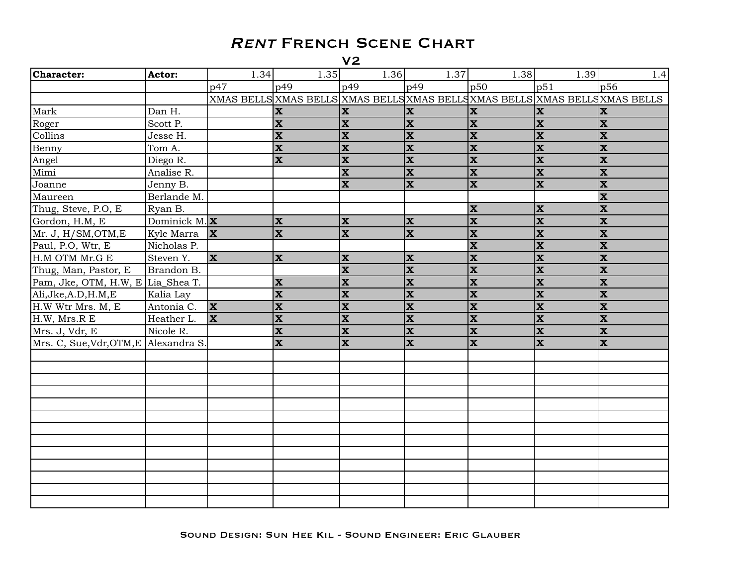| <b>Character:</b>                     | Actor:          | 1.34         | 1.35                    | 1.36                      | 1.37                      | 1.38                    | 1.39                    | 1.4                                                                          |
|---------------------------------------|-----------------|--------------|-------------------------|---------------------------|---------------------------|-------------------------|-------------------------|------------------------------------------------------------------------------|
|                                       |                 | p47          | p49                     | p49                       | p49                       | p50                     | p51                     | p56                                                                          |
|                                       |                 |              |                         |                           |                           |                         |                         | XMAS BELLS XMAS BELLS XMAS BELLS XMAS BELLS XMAS BELLS XMAS BELLS XMAS BELLS |
| Mark                                  | Dan H.          |              | <b>X</b>                | <b>X</b>                  | $\mathbf x$               | $\mathbf{x}$            | $\mathbf x$             | <b>X</b>                                                                     |
| Roger                                 | Scott P.        |              | $\mathbf x$             | $\mathbf x$               | $\mathbf x$               | $\overline{\mathbf{x}}$ | $\overline{\mathbf{X}}$ | <b>x</b>                                                                     |
| Collins                               | Jesse H.        |              | $\overline{\mathbf{x}}$ | $\overline{\mathbf{x}}$   | $\mathbf x$               | $\overline{\mathbf{x}}$ | $\overline{\mathbf{x}}$ | <b>x</b>                                                                     |
| Benny                                 | Tom A.          |              | $\overline{\mathbf{x}}$ | $\mathbf x$               | $\overline{\mathbf{x}}$   | $\overline{\mathbf{x}}$ | $\overline{\mathbf{x}}$ | <b>x</b>                                                                     |
| Angel                                 | Diego R.        |              | $\overline{\mathbf{x}}$ | $\overline{\mathbf{x}}$   | $\overline{\mathbf{x}}$   | $\overline{\mathbf{x}}$ | $\overline{\mathbf{x}}$ | $ \mathbf{x} $                                                               |
| Mimi                                  | Analise R.      |              |                         | $\overline{\mathbf{x}}$   | $\overline{\mathbf{x}}$   | $\overline{\mathbf{x}}$ | $\overline{\mathbf{x}}$ | $ \mathbf{x} $                                                               |
| Joanne                                | Jenny B.        |              |                         | $\overline{\mathbf{x}}$   | $\overline{\mathbf{x}}$   | $\overline{\mathbf{x}}$ | $\overline{\mathbf{x}}$ | $ \mathbf{x} $                                                               |
| Maureen                               | Berlande M.     |              |                         |                           |                           |                         |                         | $\overline{\mathbf{x}}$                                                      |
| Thug, Steve, P.O, E                   | Ryan B.         |              |                         |                           |                           | $ \mathbf{x} $          | $\mathbf x$             | <b>x</b>                                                                     |
| Gordon, H.M, E                        | Dominick M. $X$ |              | $\mathbf x$             | $\boldsymbol{\mathrm{X}}$ | $\mathbf x$               | $\mathbf{x}$            | $\mathbf{x}$            | <b>x</b>                                                                     |
| Mr. J, H/SM, OTM, E                   | Kyle Marra      | $\mathbf{x}$ | $\overline{\mathbf{x}}$ | $\overline{\mathbf{x}}$   | $\overline{\mathbf{x}}$   | $\overline{\mathbf{x}}$ | $\overline{\mathbf{x}}$ | $ \mathbf{x} $                                                               |
| Paul, P.O, Wtr, E                     | Nicholas P.     |              |                         |                           |                           | $\overline{\mathbf{x}}$ | $\overline{\mathbf{x}}$ | $ \mathbf{x} $                                                               |
| H.M OTM Mr.G E                        | Steven Y.       | <b>X</b>     | $\mathbf{x}$            | $\boldsymbol{\mathrm{X}}$ | $\boldsymbol{\mathrm{X}}$ | $\overline{\mathbf{x}}$ | $\overline{\mathbf{X}}$ | <b>X</b>                                                                     |
| Thug, Man, Pastor, E                  | Brandon B.      |              |                         | $\overline{\mathbf{x}}$   | $\overline{\mathbf{x}}$   | $\overline{\mathbf{x}}$ | $\overline{\mathbf{x}}$ | $ \mathbf{x} $                                                               |
| Pam, Jke, OTM, H.W, E Lia_Shea T.     |                 |              | $\overline{\mathbf{x}}$ | $\overline{\mathbf{x}}$   | $\overline{\mathbf{x}}$   | $\overline{\mathbf{x}}$ | $\overline{\mathbf{x}}$ | $ \mathbf{x} $                                                               |
| Ali, Jke, A.D, H.M, E                 | Kalia Lay       |              | $\overline{\mathbf{x}}$ | $\mathbf x$               | $\boldsymbol{\mathrm{x}}$ | $\overline{\mathbf{x}}$ | $\mathbf x$             | <b>x</b>                                                                     |
| H.W Wtr Mrs. M, E                     | Antonia C.      | X            | $\overline{\mathbf{x}}$ | $\mathbf x$               | $\mathbf x$               | $\overline{\mathbf{x}}$ | $\mathbf x$             | $ \mathbf{x} $                                                               |
| H.W, Mrs.R E                          | Heather L.      | <b>x</b>     | $\overline{\mathbf{x}}$ | $\overline{\mathbf{x}}$   | $\overline{\mathbf{x}}$   | $\overline{\mathbf{x}}$ | $\overline{\mathbf{x}}$ | $ \mathbf{x} $                                                               |
| Mrs. J, Vdr, E                        | Nicole R.       |              | $\overline{\mathbf{x}}$ | $\overline{\mathbf{x}}$   | $\overline{\mathbf{x}}$   | $\overline{\mathbf{x}}$ | $\overline{\mathbf{x}}$ | $ \mathbf{x} $                                                               |
| Mrs. C, Sue, Vdr, OTM, E Alexandra S. |                 |              | $\overline{\mathbf{x}}$ | $\overline{\mathbf{x}}$   | $\overline{\mathbf{x}}$   | $\overline{\mathbf{x}}$ | $\overline{\mathbf{x}}$ | <b>x</b>                                                                     |
|                                       |                 |              |                         |                           |                           |                         |                         |                                                                              |
|                                       |                 |              |                         |                           |                           |                         |                         |                                                                              |
|                                       |                 |              |                         |                           |                           |                         |                         |                                                                              |
|                                       |                 |              |                         |                           |                           |                         |                         |                                                                              |
|                                       |                 |              |                         |                           |                           |                         |                         |                                                                              |
|                                       |                 |              |                         |                           |                           |                         |                         |                                                                              |
|                                       |                 |              |                         |                           |                           |                         |                         |                                                                              |
|                                       |                 |              |                         |                           |                           |                         |                         |                                                                              |
|                                       |                 |              |                         |                           |                           |                         |                         |                                                                              |
|                                       |                 |              |                         |                           |                           |                         |                         |                                                                              |
|                                       |                 |              |                         |                           |                           |                         |                         |                                                                              |
|                                       |                 |              |                         |                           |                           |                         |                         |                                                                              |
|                                       |                 |              |                         |                           |                           |                         |                         |                                                                              |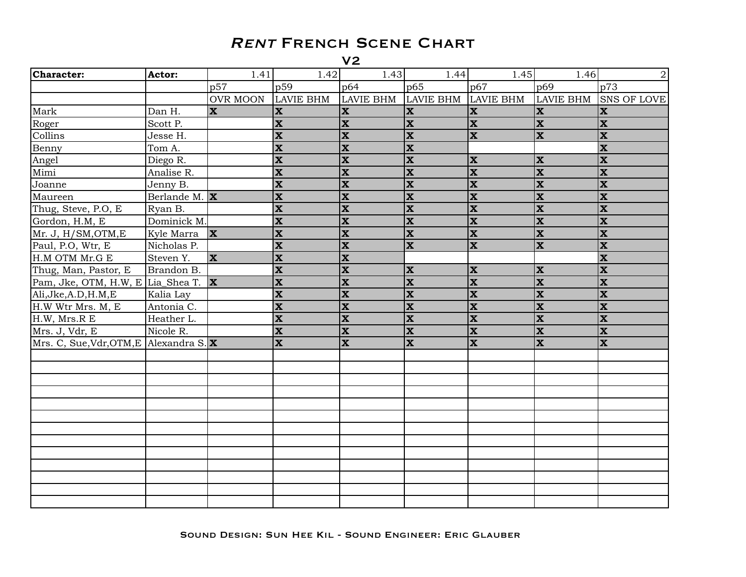| <b>Character:</b>                                  | Actor:                   | 1.41            | 1.42                     | 1.43                     | 1.44                      | 1.45                      | 1.46                     | $\overline{2}$          |
|----------------------------------------------------|--------------------------|-----------------|--------------------------|--------------------------|---------------------------|---------------------------|--------------------------|-------------------------|
|                                                    |                          | p57             | p59                      | p64                      | p65                       | p67                       | p69                      | p73                     |
|                                                    |                          | <b>OVR MOON</b> | <b>LAVIE BHM</b>         | <b>LAVIE BHM</b>         | <b>LAVIE BHM</b>          | <b>LAVIE BHM</b>          | <b>LAVIE BHM</b>         | <b>SNS OF LOVE</b>      |
| Mark                                               | Dan H.                   | $ \mathbf{x} $  | $\vert \mathbf{x} \vert$ | $\mathbf{x}$             | $ \mathbf{x} $            | $\boldsymbol{\mathrm{x}}$ | $\vert \mathbf{x} \vert$ | $\mathbf{x}$            |
| Roger                                              | Scott P.                 |                 | $ \mathbf{x} $           | $\mathbf x$              | $\mathbf{x}$              | $\overline{\mathbf{X}}$   | $\overline{\mathbf{x}}$  | $\mathbf x$             |
| Collins                                            | Jesse H.                 |                 | $ \mathbf{x} $           | $\mathbf x$              | $ \mathbf{x} $            | $\overline{\mathbf{X}}$   | $\overline{\mathbf{x}}$  | $\mathbf x$             |
| Benny                                              | Tom A.                   |                 | $ \mathbf{x} $           | $\overline{\mathbf{x}}$  | $\overline{\mathbf{x}}$   |                           |                          | $\overline{\mathbf{x}}$ |
| Angel                                              | Diego R.                 |                 | $ \mathbf{x} $           | $\overline{\mathbf{x}}$  | $ \mathbf{x} $            | $\overline{\mathbf{x}}$   | $\mathbf{x}$             | $\overline{\mathbf{x}}$ |
| Mimi                                               | Analise R.               |                 | $\vert \mathbf{x} \vert$ | $\overline{\mathbf{x}}$  | $ \mathbf{x} $            | $\overline{\mathbf{X}}$   | $\overline{\mathbf{x}}$  | $\overline{\mathbf{x}}$ |
| Joanne                                             | Jenny B.                 |                 | $\overline{\mathbf{x}}$  | $\overline{\mathbf{x}}$  | $\overline{\mathbf{x}}$   | $\overline{\mathbf{x}}$   | $ \mathbf{x} $           | $\overline{\mathbf{x}}$ |
| Maureen                                            | Berlande M. $\mathbf{X}$ |                 | $\overline{\mathbf{X}}$  | $\overline{\mathbf{x}}$  | $\overline{\mathbf{x}}$   | $\overline{\mathbf{x}}$   | $\overline{\mathbf{x}}$  | $\overline{\mathbf{X}}$ |
| Thug, Steve, P.O, E                                | Ryan B.                  |                 | $\overline{\mathbf{x}}$  | $\overline{\mathbf{x}}$  | $ \mathbf{x} $            | $\overline{\mathbf{x}}$   | $\overline{\mathbf{x}}$  | $\overline{\mathbf{x}}$ |
| Gordon, H.M, E                                     | Dominick M.              |                 | $\vert \mathbf{x} \vert$ | $\vert \mathbf{x} \vert$ | $ \mathbf{x} $            | $\overline{\mathbf{X}}$   | $\overline{\mathbf{x}}$  | $\mathbf{x}$            |
| Mr. J, H/SM, OTM, E                                | Kyle Marra               | $\mathbf{x}$    | $\overline{\mathbf{x}}$  | $\overline{\mathbf{x}}$  | $\overline{\mathbf{x}}$   | $\overline{\mathbf{x}}$   | $\overline{\mathbf{x}}$  | $\overline{\mathbf{x}}$ |
| Paul, P.O, Wtr, E                                  | Nicholas P.              |                 | $\overline{\mathbf{x}}$  | $\overline{\mathbf{x}}$  | $\overline{\mathbf{x}}$   | $\overline{\mathbf{x}}$   | $\overline{\mathbf{x}}$  | $\overline{\mathbf{x}}$ |
| H.M OTM Mr.G E                                     | Steven Y.                | <b>X</b>        | $\overline{\mathbf{x}}$  | $\overline{\mathbf{x}}$  |                           |                           |                          | $ \mathbf{x} $          |
| Thug, Man, Pastor, E                               | Brandon B.               |                 | $ \mathbf{x} $           | $\overline{\mathbf{x}}$  | $ \mathbf{x} $            | $\mathbf{x}$              | $ \mathbf{x} $           | $\overline{\mathbf{x}}$ |
| Pam, Jke, OTM, H.W, E Lia_Shea T. $\mathbf{X}$     |                          |                 | $\overline{\mathbf{x}}$  | $\overline{\mathbf{X}}$  | $\overline{\mathbf{x}}$   | $\overline{\mathbf{x}}$   | $\overline{\mathbf{x}}$  | $\overline{\mathbf{x}}$ |
| Ali, Jke, A.D, H.M, E                              | Kalia Lay                |                 | $\mathbf x$              | $\overline{\mathbf{x}}$  | $\overline{\mathbf{x}}$   | $\overline{\mathbf{x}}$   | $\overline{\mathbf{x}}$  | $\overline{\mathbf{x}}$ |
| H.W Wtr Mrs. M, E                                  | Antonia C.               |                 | $\overline{\mathbf{x}}$  | $\mathbf x$              | $\boldsymbol{\mathrm{x}}$ | $\overline{\mathbf{x}}$   | $\overline{\mathbf{x}}$  | $\overline{\mathbf{x}}$ |
| H.W, Mrs.R E                                       | Heather L.               |                 | $ \mathbf{x} $           | $\overline{\mathbf{x}}$  | $ \mathbf{x} $            | $\overline{\mathbf{x}}$   | $\overline{\mathbf{x}}$  | $\overline{\mathbf{x}}$ |
| Mrs. J, Vdr, E                                     | Nicole R.                |                 | $ \mathbf{x} $           | $\mathbf x$              | $ \mathbf{x} $            | $\overline{\mathbf{x}}$   | $\overline{\mathbf{x}}$  | $\overline{\mathbf{x}}$ |
| Mrs. C, Sue, Vdr, OTM, E Alexandra S. $\mathbf{x}$ |                          |                 | $\overline{\mathbf{x}}$  | $\overline{\mathbf{x}}$  | $\overline{\mathbf{x}}$   | $\overline{\mathbf{x}}$   | $\overline{\mathbf{x}}$  | $\overline{\mathbf{x}}$ |
|                                                    |                          |                 |                          |                          |                           |                           |                          |                         |
|                                                    |                          |                 |                          |                          |                           |                           |                          |                         |
|                                                    |                          |                 |                          |                          |                           |                           |                          |                         |
|                                                    |                          |                 |                          |                          |                           |                           |                          |                         |
|                                                    |                          |                 |                          |                          |                           |                           |                          |                         |
|                                                    |                          |                 |                          |                          |                           |                           |                          |                         |
|                                                    |                          |                 |                          |                          |                           |                           |                          |                         |
|                                                    |                          |                 |                          |                          |                           |                           |                          |                         |
|                                                    |                          |                 |                          |                          |                           |                           |                          |                         |
|                                                    |                          |                 |                          |                          |                           |                           |                          |                         |
|                                                    |                          |                 |                          |                          |                           |                           |                          |                         |
|                                                    |                          |                 |                          |                          |                           |                           |                          |                         |
|                                                    |                          |                 |                          |                          |                           |                           |                          |                         |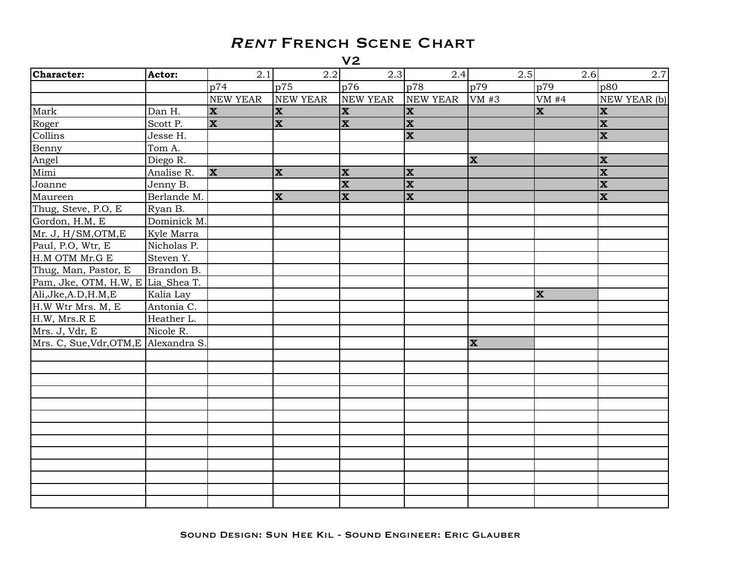| Character:                            | Actor:      | 2.1             | 2.2          | 2.3                     | 2.4                     | 2.5          | 2.6            | 2.7                       |
|---------------------------------------|-------------|-----------------|--------------|-------------------------|-------------------------|--------------|----------------|---------------------------|
|                                       |             | p74             | p75          | p76                     | p78                     | p79          | p79            | p80                       |
|                                       |             | <b>NEW YEAR</b> | NEW YEAR     | NEW YEAR                | <b>NEW YEAR</b>         | VM #3        | VM#4           | NEW YEAR (b)              |
| Mark                                  | Dan H.      | <b>X</b>        | $\mathbf x$  | $\mathbf{x}$            | $\mathbf{x}$            |              | $\mathbf{x}$   | <b>x</b>                  |
| Roger                                 | Scott P.    | <b>X</b>        | $\mathbf x$  | $\mathbf{x}$            | $\mathbf{x}$            |              |                | $ \mathbf{x} $            |
| Collins                               | Jesse H.    |                 |              |                         | $\overline{\mathbf{x}}$ |              |                | $ \mathbf{x} $            |
| Benny                                 | Tom A.      |                 |              |                         |                         |              |                |                           |
| Angel                                 | Diego R.    |                 |              |                         |                         | <b>X</b>     |                | <b>X</b>                  |
| Mimi                                  | Analise R.  | <b>X</b>        | $\mathbf{x}$ | $\mathbf x$             | $ \mathbf{x} $          |              |                | $ \overline{\mathbf{x}} $ |
| Joanne                                | Jenny B.    |                 |              | $\overline{\mathbf{x}}$ | $\overline{\mathbf{x}}$ |              |                | $\overline{\mathbf{x}}$   |
| Maureen                               | Berlande M. |                 | $\mathbf{x}$ | $\overline{\mathbf{x}}$ | $ \mathbf{x} $          |              |                | $ \mathbf{x} $            |
| Thug, Steve, P.O, E                   | Ryan B.     |                 |              |                         |                         |              |                |                           |
| Gordon, H.M, E                        | Dominick M. |                 |              |                         |                         |              |                |                           |
| Mr. J, H/SM, OTM, E                   | Kyle Marra  |                 |              |                         |                         |              |                |                           |
| Paul, P.O, Wtr, E                     | Nicholas P. |                 |              |                         |                         |              |                |                           |
| H.M OTM Mr.G E                        | Steven Y.   |                 |              |                         |                         |              |                |                           |
| Thug, Man, Pastor, E                  | Brandon B.  |                 |              |                         |                         |              |                |                           |
| Pam, Jke, OTM, H.W, E Lia_Shea T.     |             |                 |              |                         |                         |              |                |                           |
| Ali, Jke, A.D, H.M, E                 | Kalia Lay   |                 |              |                         |                         |              | $ \mathbf{x} $ |                           |
| H.W Wtr Mrs. M, E                     | Antonia C.  |                 |              |                         |                         |              |                |                           |
| H.W, Mrs.R E                          | Heather L.  |                 |              |                         |                         |              |                |                           |
| Mrs. J, Vdr, E                        | Nicole R.   |                 |              |                         |                         |              |                |                           |
| Mrs. C, Sue, Vdr, OTM, E Alexandra S. |             |                 |              |                         |                         | $\mathbf{x}$ |                |                           |
|                                       |             |                 |              |                         |                         |              |                |                           |
|                                       |             |                 |              |                         |                         |              |                |                           |
|                                       |             |                 |              |                         |                         |              |                |                           |
|                                       |             |                 |              |                         |                         |              |                |                           |
|                                       |             |                 |              |                         |                         |              |                |                           |
|                                       |             |                 |              |                         |                         |              |                |                           |
|                                       |             |                 |              |                         |                         |              |                |                           |
|                                       |             |                 |              |                         |                         |              |                |                           |
|                                       |             |                 |              |                         |                         |              |                |                           |
|                                       |             |                 |              |                         |                         |              |                |                           |
|                                       |             |                 |              |                         |                         |              |                |                           |
|                                       |             |                 |              |                         |                         |              |                |                           |
|                                       |             |                 |              |                         |                         |              |                |                           |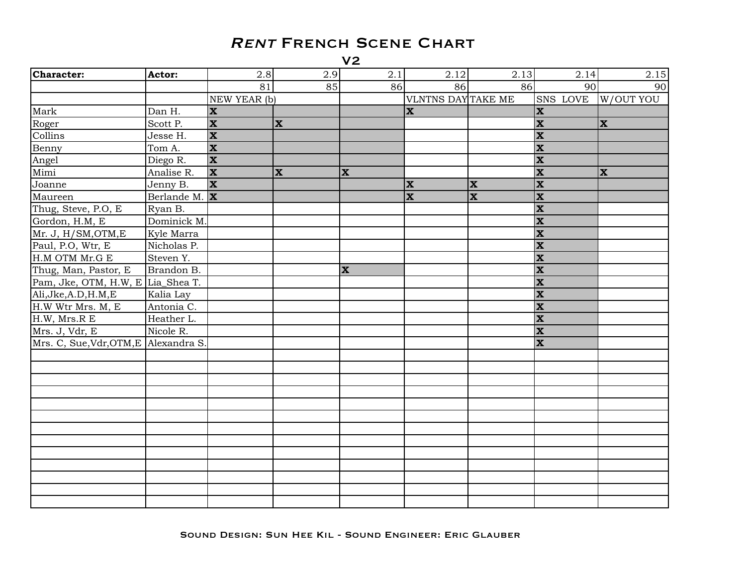| Character:                            | Actor:                   | 2.8                     | 2.9         | 2.1      | 2.12               | 2.13                    | 2.14                    | 2.15        |
|---------------------------------------|--------------------------|-------------------------|-------------|----------|--------------------|-------------------------|-------------------------|-------------|
|                                       |                          | 81                      | 85          | 86       | 86                 | 86                      | 90                      | 90          |
|                                       |                          | NEW YEAR (b)            |             |          | VLNTNS DAY TAKE ME |                         | SNS LOVE                | W/OUT YOU   |
| Mark                                  | Dan H.                   | $\mathbf{x}$            |             |          | lx.                |                         | $ \mathbf{x} $          |             |
| Roger                                 | Scott P.                 | $\overline{\mathbf{x}}$ | <b>X</b>    |          |                    |                         | $ \mathbf{x} $          | <b>X</b>    |
| Collins                               | Jesse H.                 | $\overline{\mathbf{x}}$ |             |          |                    |                         | $\overline{\mathbf{x}}$ |             |
| Benny                                 | Tom A.                   | $\mathbf{x}$            |             |          |                    |                         | $ \mathbf{x} $          |             |
| Angel                                 | Diego R.                 | $\overline{\mathbf{x}}$ |             |          |                    |                         | $\overline{\mathbf{x}}$ |             |
| Mimi                                  | Analise R.               | X                       | $\mathbf x$ | <b>X</b> |                    |                         | $ \mathbf{x} $          | $\mathbf x$ |
| Joanne                                | Jenny B.                 | $\overline{\mathbf{x}}$ |             |          | <b>x</b>           | $\mathbf x$             | $ \mathbf{x} $          |             |
| Maureen                               | Berlande M. $\mathbf{x}$ |                         |             |          | $ \mathbf{x} $     | $\overline{\mathbf{x}}$ | $ \mathbf{x} $          |             |
| Thug, Steve, P.O, E                   | Ryan B.                  |                         |             |          |                    |                         | $\overline{\mathbf{x}}$ |             |
| Gordon, H.M, E                        | Dominick M.              |                         |             |          |                    |                         | $ \mathbf{x} $          |             |
| Mr. J, H/SM, OTM, E                   | Kyle Marra               |                         |             |          |                    |                         | $ \mathbf{x} $          |             |
| Paul, P.O, Wtr, E                     | Nicholas P.              |                         |             |          |                    |                         | $ \mathbf{x} $          |             |
| H.M OTM Mr.G E                        | Steven Y.                |                         |             |          |                    |                         | $\overline{\mathbf{x}}$ |             |
| Thug, Man, Pastor, E                  | Brandon B.               |                         |             | <b>X</b> |                    |                         | $\overline{\mathbf{x}}$ |             |
| Pam, Jke, OTM, H.W, E Lia_Shea T.     |                          |                         |             |          |                    |                         | $ \mathbf{x} $          |             |
| Ali, Jke, A.D, H.M, E                 | Kalia Lay                |                         |             |          |                    |                         | $ \mathbf{x} $          |             |
| H.W Wtr Mrs. M, E                     | Antonia C.               |                         |             |          |                    |                         | $\overline{\mathbf{x}}$ |             |
| H.W, Mrs.R E                          | Heather L.               |                         |             |          |                    |                         | $ \mathbf{x} $          |             |
| Mrs. J, Vdr, E                        | Nicole R.                |                         |             |          |                    |                         | $\overline{\mathbf{x}}$ |             |
| Mrs. C, Sue, Vdr, OTM, E Alexandra S. |                          |                         |             |          |                    |                         | $\overline{\mathbf{x}}$ |             |
|                                       |                          |                         |             |          |                    |                         |                         |             |
|                                       |                          |                         |             |          |                    |                         |                         |             |
|                                       |                          |                         |             |          |                    |                         |                         |             |
|                                       |                          |                         |             |          |                    |                         |                         |             |
|                                       |                          |                         |             |          |                    |                         |                         |             |
|                                       |                          |                         |             |          |                    |                         |                         |             |
|                                       |                          |                         |             |          |                    |                         |                         |             |
|                                       |                          |                         |             |          |                    |                         |                         |             |
|                                       |                          |                         |             |          |                    |                         |                         |             |
|                                       |                          |                         |             |          |                    |                         |                         |             |
|                                       |                          |                         |             |          |                    |                         |                         |             |
|                                       |                          |                         |             |          |                    |                         |                         |             |
|                                       |                          |                         |             |          |                    |                         |                         |             |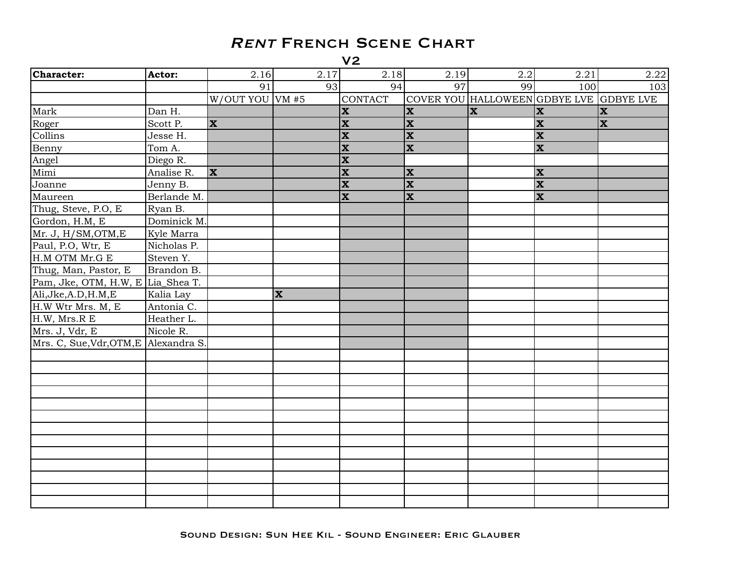| Character:                            | Actor:      | 2.16              | 2.17         | 2.18                     | 2.19                    | 2.2                                     | 2.21                    | 2.22        |
|---------------------------------------|-------------|-------------------|--------------|--------------------------|-------------------------|-----------------------------------------|-------------------------|-------------|
|                                       |             | 91                | 93           | 94                       | 97                      | 99                                      | 100                     | 103         |
|                                       |             | $W/OUT$ YOU VM #5 |              | <b>CONTACT</b>           |                         | COVER YOU HALLOWEEN GDBYE LVE GDBYE LVE |                         |             |
| Mark                                  | Dan H.      |                   |              | $\vert \mathbf{x} \vert$ | $ \mathbf{x} $          | $ \mathbf{x} $                          | $ \mathbf{x} $          | <b>X</b>    |
| Roger                                 | Scott P.    | <b>X</b>          |              | $\mathbf x$              | $\mathbf{x}$            |                                         | $\overline{\mathbf{x}}$ | $\mathbf x$ |
| Collins                               | Jesse H.    |                   |              | $\mathbf x$              | $ \mathbf{x} $          |                                         | $\overline{\mathbf{x}}$ |             |
| Benny                                 | Tom A.      |                   |              | $\overline{\mathbf{x}}$  | $ \mathbf{x} $          |                                         | $\overline{\mathbf{x}}$ |             |
| Angel                                 | Diego R.    |                   |              | $\overline{\mathbf{x}}$  |                         |                                         |                         |             |
| Mimi                                  | Analise R.  | <b>X</b>          |              | $\overline{\mathbf{x}}$  | x                       |                                         | $\mathbf{x}$            |             |
| Joanne                                | Jenny B.    |                   |              | $\overline{\mathbf{x}}$  | $\overline{\mathbf{x}}$ |                                         | $\overline{\mathbf{x}}$ |             |
| Maureen                               | Berlande M. |                   |              | $\overline{\mathbf{x}}$  | $\overline{\mathbf{x}}$ |                                         | $\overline{\mathbf{x}}$ |             |
| Thug, Steve, P.O, E                   | Ryan B.     |                   |              |                          |                         |                                         |                         |             |
| Gordon, H.M, E                        | Dominick M. |                   |              |                          |                         |                                         |                         |             |
| Mr. J, H/SM, OTM, E                   | Kyle Marra  |                   |              |                          |                         |                                         |                         |             |
| Paul, P.O, Wtr, E                     | Nicholas P. |                   |              |                          |                         |                                         |                         |             |
| H.M OTM Mr.G E                        | Steven Y.   |                   |              |                          |                         |                                         |                         |             |
| Thug, Man, Pastor, E                  | Brandon B.  |                   |              |                          |                         |                                         |                         |             |
| Pam, Jke, OTM, H.W, E Lia_Shea T.     |             |                   |              |                          |                         |                                         |                         |             |
| Ali, Jke, A.D, H.M, E                 | Kalia Lay   |                   | $\mathbf{x}$ |                          |                         |                                         |                         |             |
| H.W Wtr Mrs. M, E                     | Antonia C.  |                   |              |                          |                         |                                         |                         |             |
| H.W, Mrs.R E                          | Heather L.  |                   |              |                          |                         |                                         |                         |             |
| Mrs. J, Vdr, E                        | Nicole R.   |                   |              |                          |                         |                                         |                         |             |
| Mrs. C, Sue, Vdr, OTM, E Alexandra S. |             |                   |              |                          |                         |                                         |                         |             |
|                                       |             |                   |              |                          |                         |                                         |                         |             |
|                                       |             |                   |              |                          |                         |                                         |                         |             |
|                                       |             |                   |              |                          |                         |                                         |                         |             |
|                                       |             |                   |              |                          |                         |                                         |                         |             |
|                                       |             |                   |              |                          |                         |                                         |                         |             |
|                                       |             |                   |              |                          |                         |                                         |                         |             |
|                                       |             |                   |              |                          |                         |                                         |                         |             |
|                                       |             |                   |              |                          |                         |                                         |                         |             |
|                                       |             |                   |              |                          |                         |                                         |                         |             |
|                                       |             |                   |              |                          |                         |                                         |                         |             |
|                                       |             |                   |              |                          |                         |                                         |                         |             |
|                                       |             |                   |              |                          |                         |                                         |                         |             |
|                                       |             |                   |              |                          |                         |                                         |                         |             |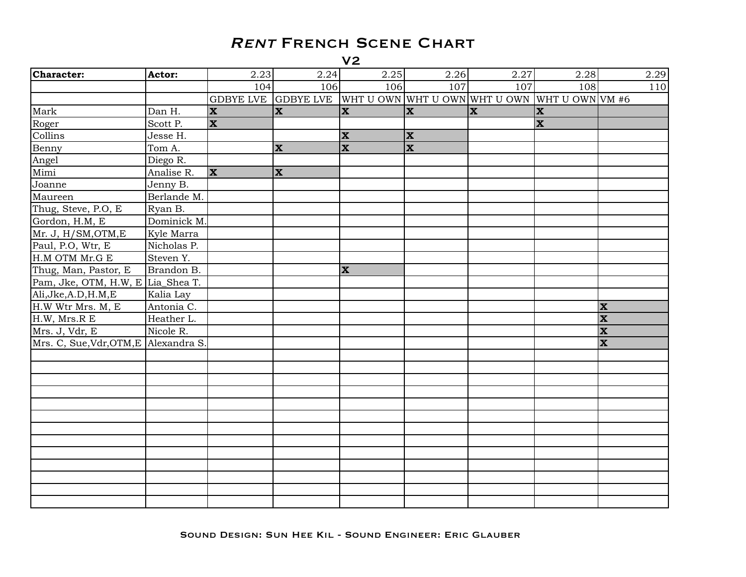| Character:                            | Actor:      | 2.23     | 2.24                                                              | 2.25         | 2.26         | 2.27           | 2.28           |                         | 2.29 |
|---------------------------------------|-------------|----------|-------------------------------------------------------------------|--------------|--------------|----------------|----------------|-------------------------|------|
|                                       |             | 104      | 106                                                               | 106          | 107          | 107            | 108            |                         | 110  |
|                                       |             |          | GDBYE LVE GDBYE LVE WHT U OWN WHT U OWN WHT U OWN WHT U OWN VM #6 |              |              |                |                |                         |      |
| Mark                                  | Dan H.      | <b>X</b> | <b>X</b>                                                          | $\mathbf{x}$ | lx.          | $ \mathbf{x} $ | <b>x</b>       |                         |      |
| Roger                                 | Scott P.    | X        |                                                                   |              |              |                | $ \mathbf{x} $ |                         |      |
| Collins                               | Jesse H.    |          |                                                                   | $\mathbf x$  | $\mathbf{x}$ |                |                |                         |      |
| Benny                                 | Tom A.      |          | $\mathbf{x}$                                                      | $\mathbf{x}$ | <b>x</b>     |                |                |                         |      |
| Angel                                 | Diego R.    |          |                                                                   |              |              |                |                |                         |      |
| Mimi                                  | Analise R.  | X        | $\mathbf{x}$                                                      |              |              |                |                |                         |      |
| Joanne                                | Jenny B.    |          |                                                                   |              |              |                |                |                         |      |
| Maureen                               | Berlande M. |          |                                                                   |              |              |                |                |                         |      |
| Thug, Steve, P.O, E                   | Ryan B.     |          |                                                                   |              |              |                |                |                         |      |
| Gordon, H.M, E                        | Dominick M. |          |                                                                   |              |              |                |                |                         |      |
| Mr. J, H/SM, OTM, E                   | Kyle Marra  |          |                                                                   |              |              |                |                |                         |      |
| Paul, P.O, Wtr, E                     | Nicholas P. |          |                                                                   |              |              |                |                |                         |      |
| H.M OTM Mr.G E                        | Steven Y.   |          |                                                                   |              |              |                |                |                         |      |
| Thug, Man, Pastor, E                  | Brandon B.  |          |                                                                   | $\mathbf{x}$ |              |                |                |                         |      |
| Pam, Jke, OTM, H.W, E Lia_Shea T.     |             |          |                                                                   |              |              |                |                |                         |      |
| Ali, Jke, A.D, H.M, E                 | Kalia Lay   |          |                                                                   |              |              |                |                |                         |      |
| H.W Wtr Mrs. M, E                     | Antonia C.  |          |                                                                   |              |              |                |                | $\mathbf x$             |      |
| H.W, Mrs.R E                          | Heather L.  |          |                                                                   |              |              |                |                | $\overline{\mathbf{x}}$ |      |
| Mrs. J, Vdr, E                        | Nicole R.   |          |                                                                   |              |              |                |                | $\overline{\mathbf{x}}$ |      |
| Mrs. C, Sue, Vdr, OTM, E Alexandra S. |             |          |                                                                   |              |              |                |                | $\overline{\mathbf{x}}$ |      |
|                                       |             |          |                                                                   |              |              |                |                |                         |      |
|                                       |             |          |                                                                   |              |              |                |                |                         |      |
|                                       |             |          |                                                                   |              |              |                |                |                         |      |
|                                       |             |          |                                                                   |              |              |                |                |                         |      |
|                                       |             |          |                                                                   |              |              |                |                |                         |      |
|                                       |             |          |                                                                   |              |              |                |                |                         |      |
|                                       |             |          |                                                                   |              |              |                |                |                         |      |
|                                       |             |          |                                                                   |              |              |                |                |                         |      |
|                                       |             |          |                                                                   |              |              |                |                |                         |      |
|                                       |             |          |                                                                   |              |              |                |                |                         |      |
|                                       |             |          |                                                                   |              |              |                |                |                         |      |
|                                       |             |          |                                                                   |              |              |                |                |                         |      |
|                                       |             |          |                                                                   |              |              |                |                |                         |      |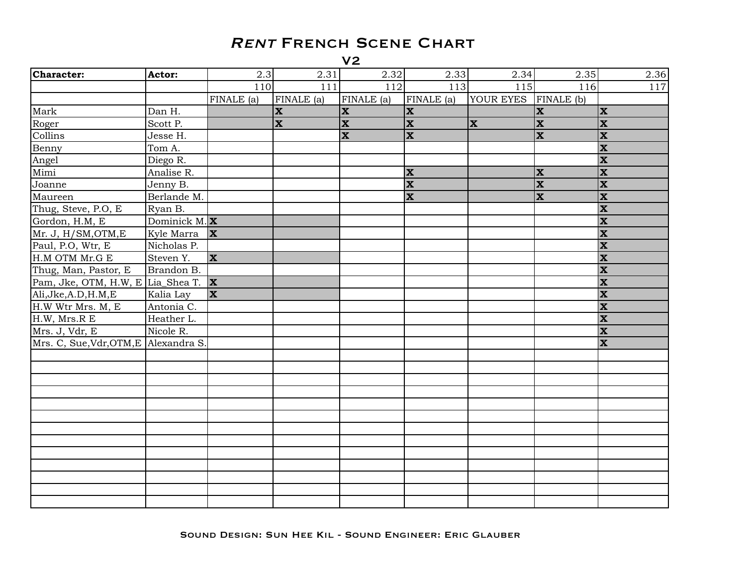| Character:                                     | Actor:          | 2.3                     | 2.31                    | 2.32         | 2.33                    | 2.34      | 2.35                           | 2.36                    |
|------------------------------------------------|-----------------|-------------------------|-------------------------|--------------|-------------------------|-----------|--------------------------------|-------------------------|
|                                                |                 | 110                     | 111                     | 112          | 113                     | 115       | 116                            | 117                     |
|                                                |                 | FINALE (a)              | FINALE (a)              | FINALE (a)   | FINALE (a)              | YOUR EYES | $\overline{\text{FINALE (b)}}$ |                         |
| Mark                                           | Dan H.          |                         | $\mathbf{x}$            | $\mathbf{x}$ | $ \mathbf{x} $          |           | $ \mathbf{x} $                 | $ \mathbf{x} $          |
| Roger                                          | Scott P.        |                         | $\overline{\mathbf{x}}$ | $\mathbf{x}$ | $\mathbf{x}$            | <b>X</b>  | $\overline{\mathbf{x}}$        | $ \mathbf{x} $          |
| Collins                                        | Jesse H.        |                         |                         | $\mathbf{x}$ | $\mathbf x$             |           | $\overline{\mathbf{x}}$        | <b>x</b>                |
| Benny                                          | Tom A.          |                         |                         |              |                         |           |                                | X                       |
| Angel                                          | Diego R.        |                         |                         |              |                         |           |                                | $\overline{\mathbf{x}}$ |
| Mimi                                           | Analise R.      |                         |                         |              | <b>X</b>                |           | $ \mathbf{x} $                 | $ \mathbf{x} $          |
| Joanne                                         | Jenny B.        |                         |                         |              | $\overline{\mathbf{x}}$ |           | $\overline{\mathbf{x}}$        | $ \mathbf{x} $          |
| Maureen                                        | Berlande M.     |                         |                         |              | $\overline{\mathbf{x}}$ |           | $\overline{\mathbf{x}}$        | $ \mathbf{x} $          |
| Thug, Steve, P.O, E                            | Ryan B.         |                         |                         |              |                         |           |                                | $\overline{\mathbf{x}}$ |
| Gordon, H.M, E                                 | Dominick M. $X$ |                         |                         |              |                         |           |                                | X                       |
| Mr. J, H/SM, OTM, E                            | Kyle Marra      | $ \mathbf{x} $          |                         |              |                         |           |                                | $\overline{\mathbf{x}}$ |
| Paul, P.O, Wtr, E                              | Nicholas P.     |                         |                         |              |                         |           |                                | $\overline{\mathbf{x}}$ |
| H.M OTM Mr.G E                                 | Steven Y.       | <b>X</b>                |                         |              |                         |           |                                | $\overline{\mathbf{x}}$ |
| Thug, Man, Pastor, E                           | Brandon B.      |                         |                         |              |                         |           |                                | $\mathbf x$             |
| Pam, Jke, OTM, H.W, E Lia_Shea T. $\mathbf{X}$ |                 |                         |                         |              |                         |           |                                | X                       |
| Ali, Jke, A.D, H.M, E                          | Kalia Lay       | $\overline{\mathbf{x}}$ |                         |              |                         |           |                                | $\overline{\mathbf{x}}$ |
| H.W Wtr Mrs. M, E                              | Antonia C.      |                         |                         |              |                         |           |                                | $\mathbf x$             |
| H.W, Mrs.R E                                   | Heather L.      |                         |                         |              |                         |           |                                | $\overline{\mathbf{x}}$ |
| Mrs. J, Vdr, E                                 | Nicole R.       |                         |                         |              |                         |           |                                | $\overline{\mathbf{x}}$ |
| Mrs. C, Sue, Vdr, OTM, E Alexandra S.          |                 |                         |                         |              |                         |           |                                | $\overline{\mathbf{x}}$ |
|                                                |                 |                         |                         |              |                         |           |                                |                         |
|                                                |                 |                         |                         |              |                         |           |                                |                         |
|                                                |                 |                         |                         |              |                         |           |                                |                         |
|                                                |                 |                         |                         |              |                         |           |                                |                         |
|                                                |                 |                         |                         |              |                         |           |                                |                         |
|                                                |                 |                         |                         |              |                         |           |                                |                         |
|                                                |                 |                         |                         |              |                         |           |                                |                         |
|                                                |                 |                         |                         |              |                         |           |                                |                         |
|                                                |                 |                         |                         |              |                         |           |                                |                         |
|                                                |                 |                         |                         |              |                         |           |                                |                         |
|                                                |                 |                         |                         |              |                         |           |                                |                         |
|                                                |                 |                         |                         |              |                         |           |                                |                         |
|                                                |                 |                         |                         |              |                         |           |                                |                         |